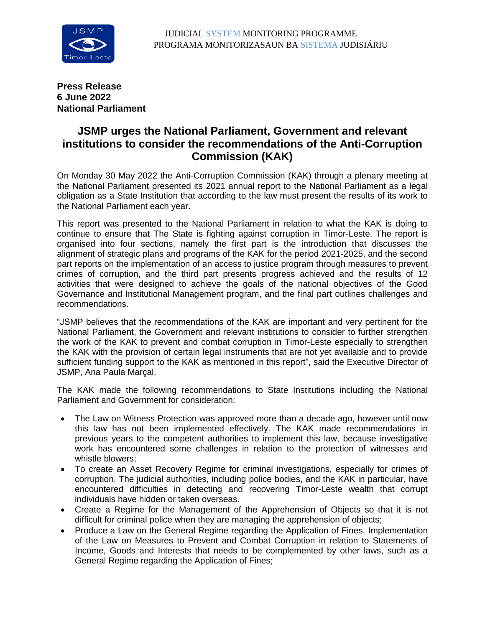

**Press Release 6 June 2022 National Parliament**

## **JSMP urges the National Parliament, Government and relevant institutions to consider the recommendations of the Anti-Corruption Commission (KAK)**

On Monday 30 May 2022 the Anti-Corruption Commission (KAK) through a plenary meeting at the National Parliament presented its 2021 annual report to the National Parliament as a legal obligation as a State Institution that according to the law must present the results of its work to the National Parliament each year.

This report was presented to the National Parliament in relation to what the KAK is doing to continue to ensure that The State is fighting against corruption in Timor-Leste. The report is organised into four sections, namely the first part is the introduction that discusses the alignment of strategic plans and programs of the KAK for the period 2021-2025, and the second part reports on the implementation of an access to justice program through measures to prevent crimes of corruption, and the third part presents progress achieved and the results of 12 activities that were designed to achieve the goals of the national objectives of the Good Governance and Institutional Management program, and the final part outlines challenges and recommendations.

"JSMP believes that the recommendations of the KAK are important and very pertinent for the National Parliament, the Government and relevant institutions to consider to further strengthen the work of the KAK to prevent and combat corruption in Timor-Leste especially to strengthen the KAK with the provision of certain legal instruments that are not yet available and to provide sufficient funding support to the KAK as mentioned in this report", said the Executive Director of JSMP, Ana Paula Marçal.

The KAK made the following recommendations to State Institutions including the National Parliament and Government for consideration:

- The Law on Witness Protection was approved more than a decade ago, however until now this law has not been implemented effectively. The KAK made recommendations in previous years to the competent authorities to implement this law, because investigative work has encountered some challenges in relation to the protection of witnesses and whistle blowers;
- To create an Asset Recovery Regime for criminal investigations, especially for crimes of corruption. The judicial authorities, including police bodies, and the KAK in particular, have encountered difficulties in detecting and recovering Timor-Leste wealth that corrupt individuals have hidden or taken overseas.
- Create a Regime for the Management of the Apprehension of Objects so that it is not difficult for criminal police when they are managing the apprehension of objects;
- Produce a Law on the General Regime regarding the Application of Fines. Implementation of the Law on Measures to Prevent and Combat Corruption in relation to Statements of Income, Goods and Interests that needs to be complemented by other laws, such as a General Regime regarding the Application of Fines;